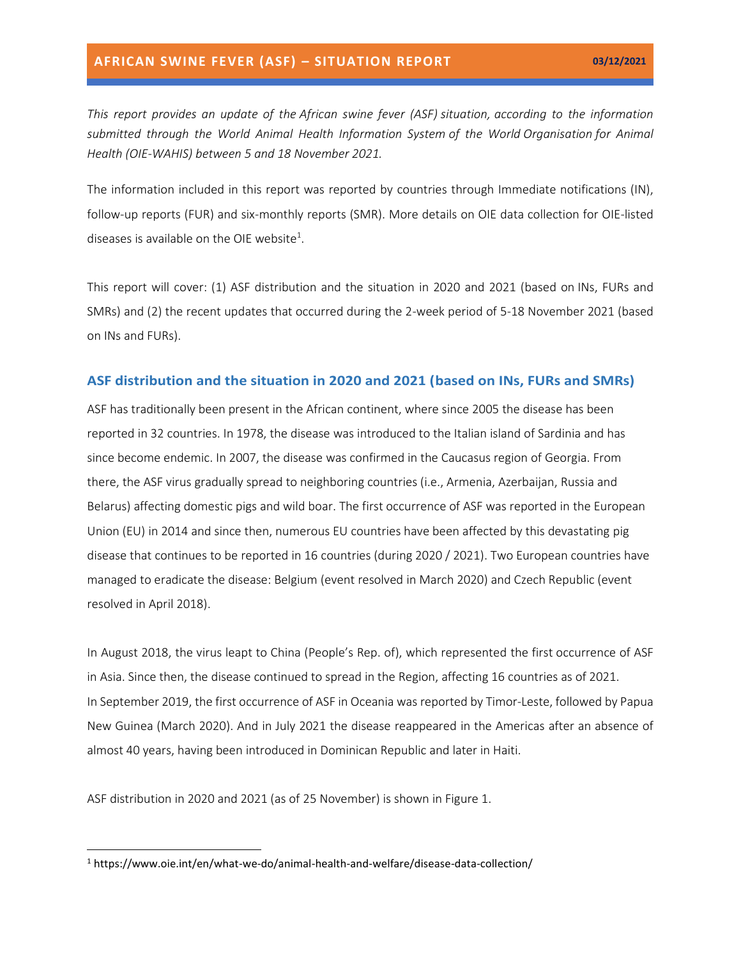*This report provides an update of the African swine fever (ASF) situation, according to the information submitted through the World Animal Health Information System of the World Organisation for Animal Health (OIE-WAHIS) between 5 and 18 November 2021.*

The information included in this report was reported by countries through Immediate notifications (IN), follow-up reports (FUR) and six-monthly reports (SMR). More details on OIE data collection for OIE-listed diseases is available on the OIE website<sup>1</sup>.

This report will cover: (1) ASF distribution and the situation in 2020 and 2021 (based on INs, FURs and SMRs) and (2) the recent updates that occurred during the 2-week period of 5-18 November 2021 (based on INs and FURs).

#### **ASF distribution and the situation in 2020 and 2021 (based on INs, FURs and SMRs)**

ASF has traditionally been present in the African continent, where since 2005 the disease has been reported in 32 countries. In 1978, the disease was introduced to the Italian island of Sardinia and has since become endemic. In 2007, the disease was confirmed in the Caucasus region of Georgia. From there, the ASF virus gradually spread to neighboring countries (i.e., Armenia, Azerbaijan, Russia and Belarus) affecting domestic pigs and wild boar. The first occurrence of ASF was reported in the European Union (EU) in 2014 and since then, numerous EU countries have been affected by this devastating pig disease that continues to be reported in 16 countries (during 2020 / 2021). Two European countries have managed to eradicate the disease: Belgium (event resolved in March 2020) and Czech Republic (event resolved in April 2018).

In August 2018, the virus leapt to China (People's Rep. of), which represented the first occurrence of ASF in Asia. Since then, the disease continued to spread in the Region, affecting 16 countries as of 2021. In September 2019, the first occurrence of ASF in Oceania was reported by Timor-Leste, followed by Papua New Guinea (March 2020). And in July 2021 the disease reappeared in the Americas after an absence of almost 40 years, having been introduced in Dominican Republic and later in Haiti.

ASF distribution in 2020 and 2021 (as of 25 November) is shown in Figure 1.

<sup>1</sup> https://www.oie.int/en/what-we-do/animal-health-and-welfare/disease-data-collection/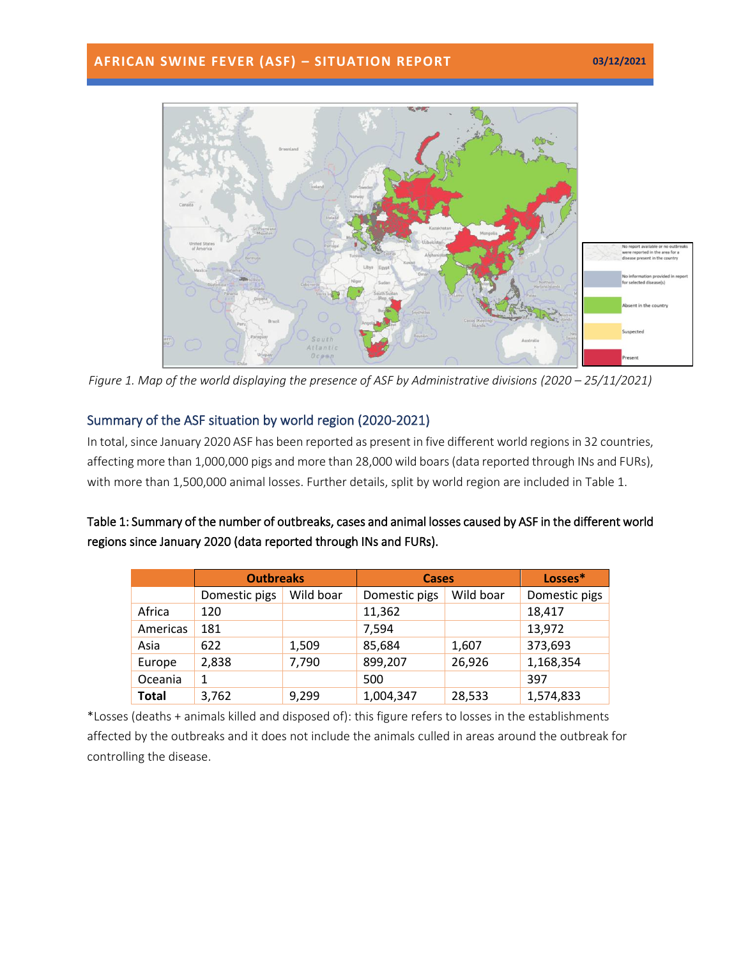## **AFRICAN SWINE FEVER (ASF) – SITUATION REPORT 03/12/2021**



*Figure 1. Map of the world displaying the presence of ASF by Administrative divisions (2020 – 25/11/2021)* 

## Summary of the ASF situation by world region (2020-2021)

In total, since January 2020 ASF has been reported as present in five different world regions in 32 countries, affecting more than 1,000,000 pigs and more than 28,000 wild boars(data reported through INs and FURs), with more than 1,500,000 animal losses. Further details, split by world region are included in Table 1.

| Table 1: Summary of the number of outbreaks, cases and animal losses caused by ASF in the different world |
|-----------------------------------------------------------------------------------------------------------|
| regions since January 2020 (data reported through INs and FURs).                                          |

|              | <b>Outbreaks</b> |           | <b>Cases</b>  |           | Losses*       |
|--------------|------------------|-----------|---------------|-----------|---------------|
|              | Domestic pigs    | Wild boar | Domestic pigs | Wild boar | Domestic pigs |
| Africa       | 120              |           | 11,362        |           | 18,417        |
| Americas     | 181              |           | 7,594         |           | 13,972        |
| Asia         | 622              | 1,509     | 85,684        | 1,607     | 373,693       |
| Europe       | 2,838            | 7,790     | 899,207       | 26,926    | 1,168,354     |
| Oceania      |                  |           | 500           |           | 397           |
| <b>Total</b> | 3,762            | 9,299     | 1,004,347     | 28,533    | 1,574,833     |

\*Losses (deaths + animals killed and disposed of): this figure refers to losses in the establishments affected by the outbreaks and it does not include the animals culled in areas around the outbreak for controlling the disease.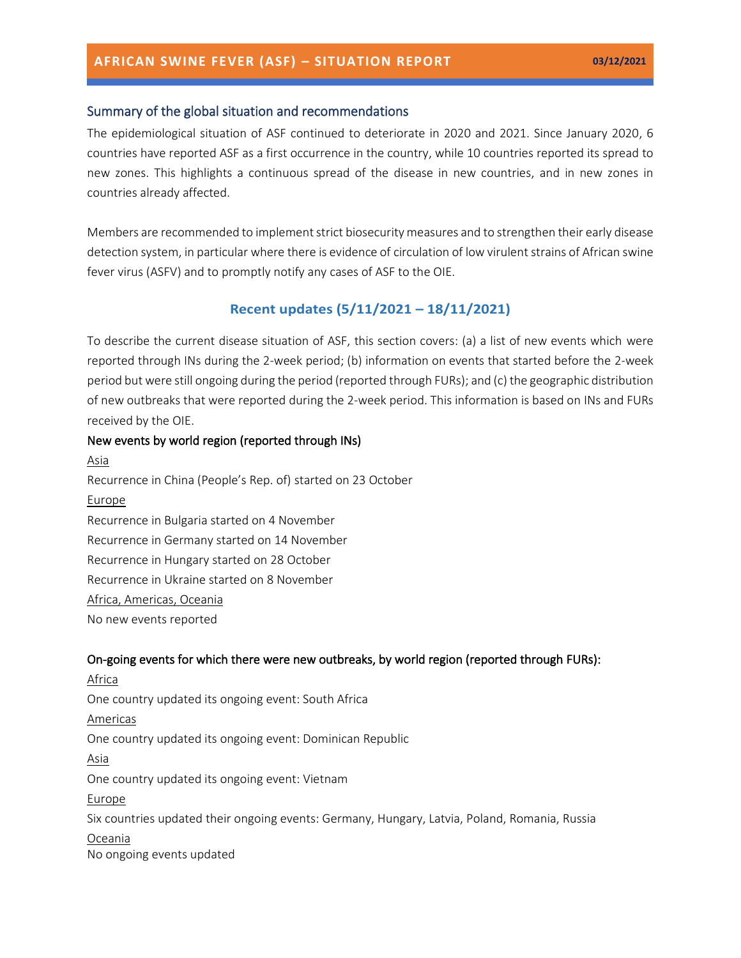### **AFRICAN SWINE FEVER (ASF) – SITUATION REPORT 03/12/2021**

#### Summary of the global situation and recommendations

The epidemiological situation of ASF continued to deteriorate in 2020 and 2021. Since January 2020, 6 countries have reported ASF as a first occurrence in the country, while 10 countries reported its spread to new zones. This highlights a continuous spread of the disease in new countries, and in new zones in countries already affected.

Members are recommended to implement strict biosecurity measures and to strengthen their early disease detection system, in particular where there is evidence of circulation of low virulent strains of African swine fever virus (ASFV) and to promptly notify any cases of ASF to the OIE.

#### **Recent updates (5/11/2021 – 18/11/2021)**

To describe the current disease situation of ASF, this section covers: (a) a list of new events which were reported through INs during the 2-week period; (b) information on events that started before the 2-week period but were still ongoing during the period (reported through FURs); and (c) the geographic distribution of new outbreaks that were reported during the 2-week period. This information is based on INs and FURs received by the OIE.

#### New events by world region (reported through INs)

Asia Recurrence in China (People's Rep. of) started on 23 October Europe Recurrence in Bulgaria started on 4 November Recurrence in Germany started on 14 November Recurrence in Hungary started on 28 October Recurrence in Ukraine started on 8 November Africa, Americas, Oceania No new events reported

#### On-going events for which there were new outbreaks, by world region (reported through FURs):

Africa One country updated its ongoing event: South Africa Americas One country updated its ongoing event: Dominican Republic Asia One country updated its ongoing event: Vietnam Europe Six countries updated their ongoing events: Germany, Hungary, Latvia, Poland, Romania, Russia Oceania No ongoing events updated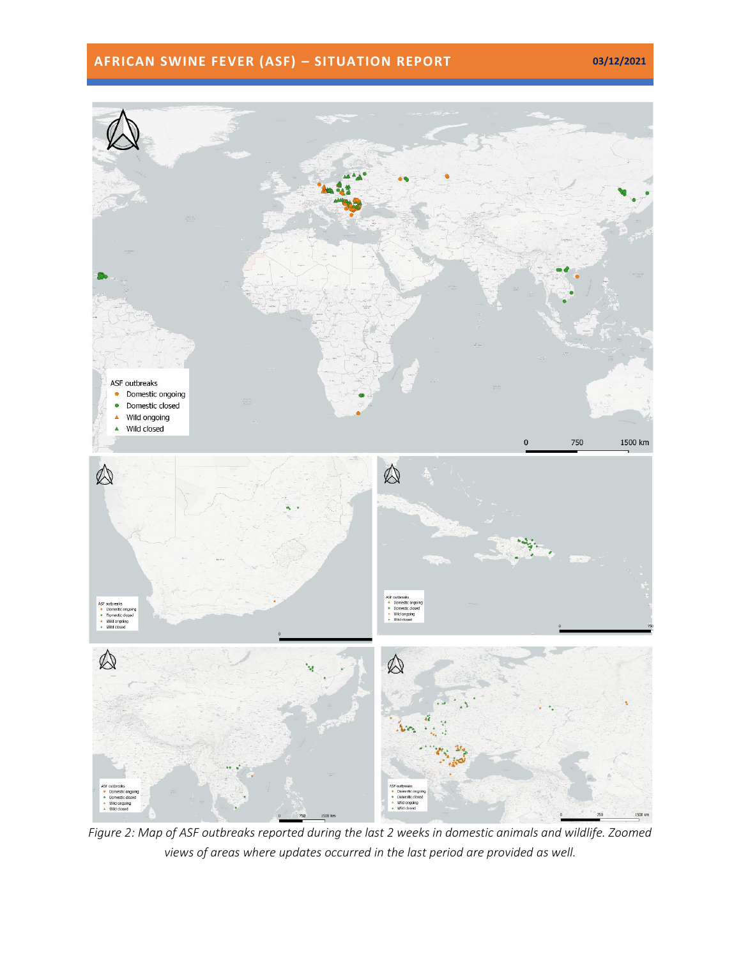# **AFRICAN SWINE FEVER (ASF) – SITUATION REPORT 03/12/2021**



*Figure 2: Map of ASF outbreaks reported during the last 2 weeks in domestic animals and wildlife. Zoomed views of areas where updates occurred in the last period are provided as well.*